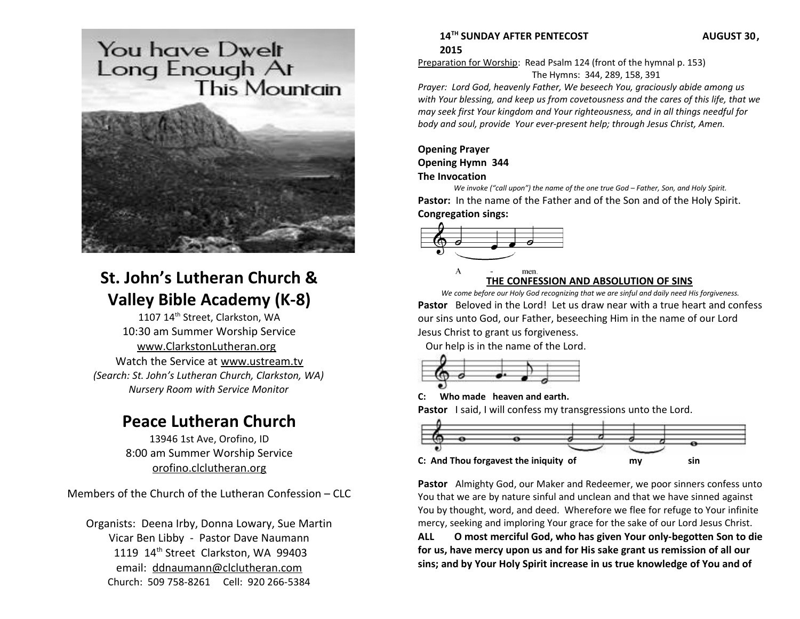# You have Dwelt Long Enough Ar **This Mountain**



# **St. John's Lutheran Church & Valley Bible Academy (K-8)**

1107 14<sup>th</sup> Street, Clarkston, WA 10:30 am Summer Worship Service [www.ClarkstonLutheran.org](http://www.ClarkstonLutheran.org/)  Watch the Service at [www.ustream.tv](http://www.ustream.tv/) *(Search: St. John's Lutheran Church, Clarkston, WA) Nursery Room with Service Monitor*

# **Peace Lutheran Church**

13946 1st Ave, Orofino, ID 8:00 am Summer Worship Service [orofino.clclutheran.org](http://www.orofinolutheran.org/)

Members of the Church of the Lutheran Confession – CLC

Organists: Deena Irby, Donna Lowary, Sue Martin Vicar Ben Libby - Pastor Dave Naumann 1119 14<sup>th</sup> Street Clarkston, WA 99403 email: [ddnaumann@clclutheran.com](mailto:ddnaumann@clclutheran.com) Church: 509 758-8261 Cell: 920 266-5384

### **14TH SUNDAY AFTER PENTECOST AUGUST 30, 2015**

Preparation for Worship: Read Psalm 124 (front of the hymnal p. 153) The Hymns: 344, 289, 158, 391

*Prayer: Lord God, heavenly Father, We beseech You, graciously abide among us with Your blessing, and keep us from covetousness and the cares of this life, that we may seek first Your kingdom and Your righteousness, and in all things needful for body and soul, provide Your ever-present help; through Jesus Christ, Amen.*

### **Opening Prayer Opening Hymn 344 The Invocation**

*We invoke ("call upon") the name of the one true God – Father, Son, and Holy Spirit.* **Pastor:** In the name of the Father and of the Son and of the Holy Spirit. **Congregation sings:**



### **THE CONFESSION AND ABSOLUTION OF SINS**

*We come before our Holy God recognizing that we are sinful and daily need His forgiveness.* **Pastor** Beloved in the Lord! Let us draw near with a true heart and confess our sins unto God, our Father, beseeching Him in the name of our Lord Jesus Christ to grant us forgiveness.

Our help is in the name of the Lord.



**C: Who made heaven and earth.**

**Pastor** I said, I will confess my transgressions unto the Lord.



**Pastor** Almighty God, our Maker and Redeemer, we poor sinners confess unto You that we are by nature sinful and unclean and that we have sinned against You by thought, word, and deed. Wherefore we flee for refuge to Your infinite mercy, seeking and imploring Your grace for the sake of our Lord Jesus Christ.

**ALL O most merciful God, who has given Your only-begotten Son to die for us, have mercy upon us and for His sake grant us remission of all our sins; and by Your Holy Spirit increase in us true knowledge of You and of**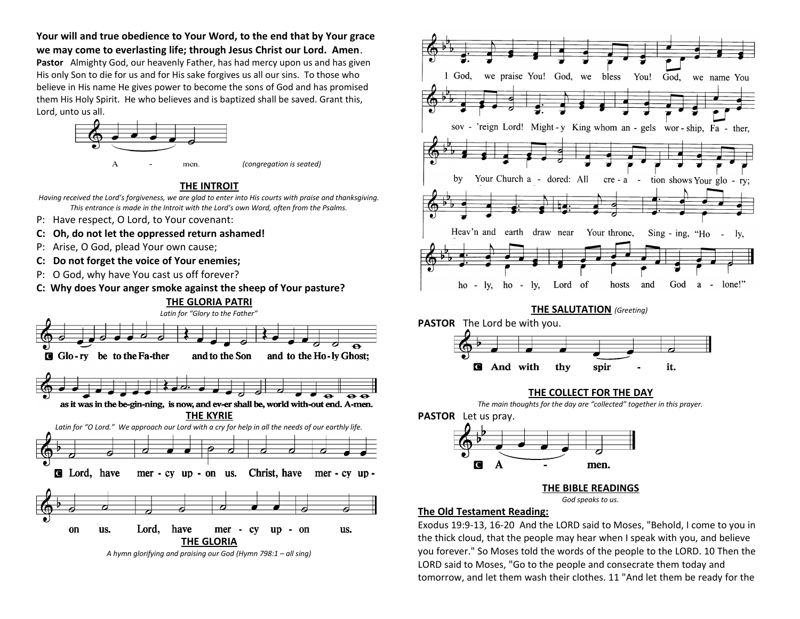**Your will and true obedience to Your Word, to the end that by Your grace we may come to everlasting life; through Jesus Christ our Lord. Amen**.

**Pastor** Almighty God, our heavenly Father, has had mercy upon us and has given His only Son to die for us and for His sake forgives us all our sins. To those who believe in His name He gives power to become the sons of God and has promised them His Holy Spirit. He who believes and is baptized shall be saved. Grant this, Lord, unto us all.



**THE INTROIT**

- *Having received the Lord's forgiveness, we are glad to enter into His courts with praise and thanksgiving. This entrance is made in the Introit with the Lord's own Word, often from the Psalms.*
- P: Have respect, O Lord, to Your covenant:
- **C: Oh, do not let the oppressed return ashamed!**
- P: Arise, O God, plead Your own cause;
- **C: Do not forget the voice of Your enemies;**
- P: O God, why have You cast us off forever?
- **C: Why does Your anger smoke against the sheep of Your pasture?**









#### **THE BIBLE READINGS**

#### *God speaks to us.*

### **The Old Testament Reading:**

Exodus 19:9-13, 16-20 And the LORD said to Moses, "Behold, I come to you in the thick cloud, that the people may hear when I speak with you, and believe you forever." So Moses told the words of the people to the LORD. 10 Then the LORD said to Moses, "Go to the people and consecrate them today and tomorrow, and let them wash their clothes. 11 "And let them be ready for the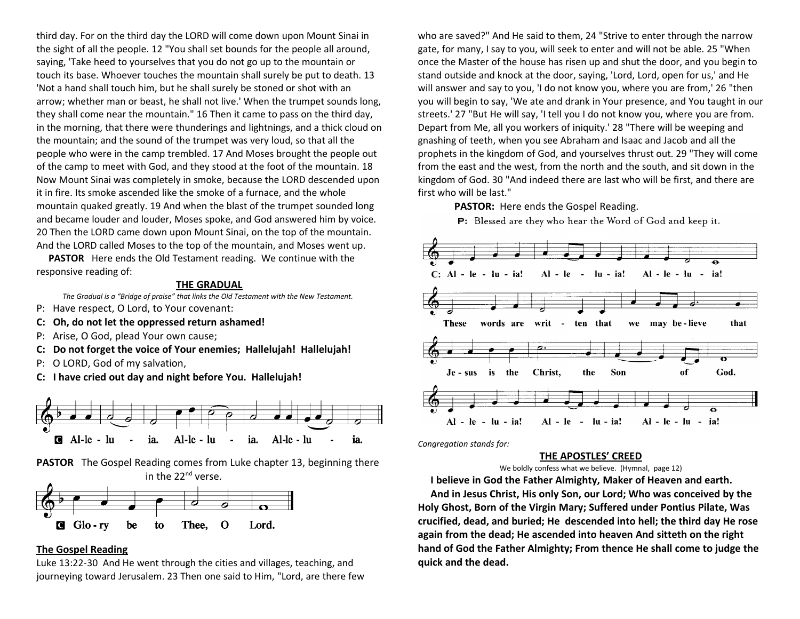third day. For on the third day the LORD will come down upon Mount Sinai in the sight of all the people. 12 "You shall set bounds for the people all around, saying, 'Take heed to yourselves that you do not go up to the mountain or touch its base. Whoever touches the mountain shall surely be put to death. 13 'Not a hand shall touch him, but he shall surely be stoned or shot with an arrow; whether man or beast, he shall not live.' When the trumpet sounds long, they shall come near the mountain." 16 Then it came to pass on the third day, in the morning, that there were thunderings and lightnings, and a thick cloud on the mountain; and the sound of the trumpet was very loud, so that all the people who were in the camp trembled. 17 And Moses brought the people out of the camp to meet with God, and they stood at the foot of the mountain. 18 Now Mount Sinai was completely in smoke, because the LORD descended upon it in fire. Its smoke ascended like the smoke of a furnace, and the whole mountain quaked greatly. 19 And when the blast of the trumpet sounded long and became louder and louder, Moses spoke, and God answered him by voice. 20 Then the LORD came down upon Mount Sinai, on the top of the mountain. And the LORD called Moses to the top of the mountain, and Moses went up.

 **PASTOR** Here ends the Old Testament reading. We continue with the responsive reading of:

#### **THE GRADUAL**

*The Gradual is a "Bridge of praise" that links the Old Testament with the New Testament.* 

- P: Have respect, O Lord, to Your covenant:
- **C: Oh, do not let the oppressed return ashamed!**
- P: Arise, O God, plead Your own cause;
- **C: Do not forget the voice of Your enemies; Hallelujah! Hallelujah!**
- P: O LORD, God of my salvation,
- **C: I have cried out day and night before You. Hallelujah!**



**PASTOR** The Gospel Reading comes from Luke chapter 13, beginning there in the 22<sup>nd</sup> verse.



#### **The Gospel Reading**

Luke 13:22-30 And He went through the cities and villages, teaching, and journeying toward Jerusalem. 23 Then one said to Him, "Lord, are there few who are saved?" And He said to them, 24 "Strive to enter through the narrow gate, for many, I say to you, will seek to enter and will not be able. 25 "When once the Master of the house has risen up and shut the door, and you begin to stand outside and knock at the door, saying, 'Lord, Lord, open for us,' and He will answer and say to you, 'I do not know you, where you are from,' 26 "then you will begin to say, 'We ate and drank in Your presence, and You taught in our streets.' 27 "But He will say, 'I tell you I do not know you, where you are from. Depart from Me, all you workers of iniquity.' 28 "There will be weeping and gnashing of teeth, when you see Abraham and Isaac and Jacob and all the prophets in the kingdom of God, and yourselves thrust out. 29 "They will come from the east and the west, from the north and the south, and sit down in the kingdom of God. 30 "And indeed there are last who will be first, and there are first who will be last."

**PASTOR:** Here ends the Gospel Reading.

P: Blessed are they who hear the Word of God and keep it.



*Congregation stands for:*

#### **THE APOSTLES' CREED**

We boldly confess what we believe. (Hymnal, page 12)

 **I believe in God the Father Almighty, Maker of Heaven and earth. And in Jesus Christ, His only Son, our Lord; Who was conceived by the Holy Ghost, Born of the Virgin Mary; Suffered under Pontius Pilate, Was crucified, dead, and buried; He descended into hell; the third day He rose again from the dead; He ascended into heaven And sitteth on the right hand of God the Father Almighty; From thence He shall come to judge the quick and the dead.**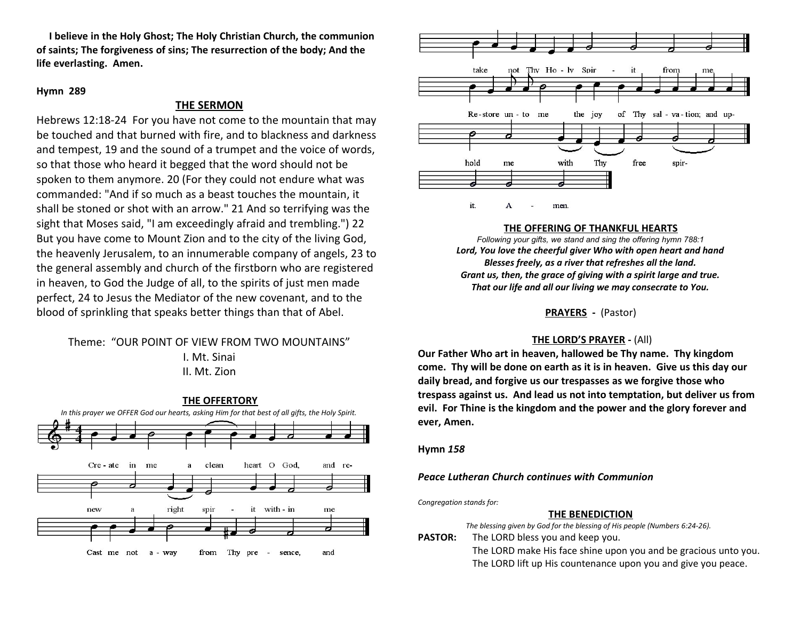**I believe in the Holy Ghost; The Holy Christian Church, the communion of saints; The forgiveness of sins; The resurrection of the body; And the life everlasting. Amen.**

#### **Hymn 289**

### **THE SERMON**

Hebrews 12:18-24 For you have not come to the mountain that may be touched and that burned with fire, and to blackness and darkness and tempest, 19 and the sound of a trumpet and the voice of words, so that those who heard it begged that the word should not be spoken to them anymore. 20 (For they could not endure what was commanded: "And if so much as a beast touches the mountain, it shall be stoned or shot with an arrow." 21 And so terrifying was the sight that Moses said, "I am exceedingly afraid and trembling.") 22 But you have come to Mount Zion and to the city of the living God, the heavenly Jerusalem, to an innumerable company of angels, 23 to the general assembly and church of the firstborn who are registered in heaven, to God the Judge of all, to the spirits of just men made perfect, 24 to Jesus the Mediator of the new covenant, and to the blood of sprinkling that speaks better things than that of Abel.

## Theme: "OUR POINT OF VIEW FROM TWO MOUNTAINS" I. Mt. Sinai II. Mt. Zion





#### **THE OFFERING OF THANKFUL HEARTS**

*Following your gifts, we stand and sing the offering hymn 788:1 Lord, You love the cheerful giver Who with open heart and hand Blesses freely, as a river that refreshes all the land. Grant us, then, the grace of giving with a spirit large and true. That our life and all our living we may consecrate to You.*

**PRAYERS -** (Pastor)

#### **THE LORD'S PRAYER -** (All)

**Our Father Who art in heaven, hallowed be Thy name. Thy kingdom come. Thy will be done on earth as it is in heaven. Give us this day our daily bread, and forgive us our trespasses as we forgive those who trespass against us. And lead us not into temptation, but deliver us from evil. For Thine is the kingdom and the power and the glory forever and ever, Amen.** 

**Hymn** *158*

*Peace Lutheran Church continues with Communion*

*Congregation stands for:*

#### **THE BENEDICTION**

|                | The blessing given by God for the blessing of His people (Numbers 6:24-26). |
|----------------|-----------------------------------------------------------------------------|
| <b>PASTOR:</b> | The LORD bless you and keep you.                                            |
|                | The LORD make His face shine upon you and be gracious unto you.             |
|                | The LORD lift up His countenance upon you and give you peace.               |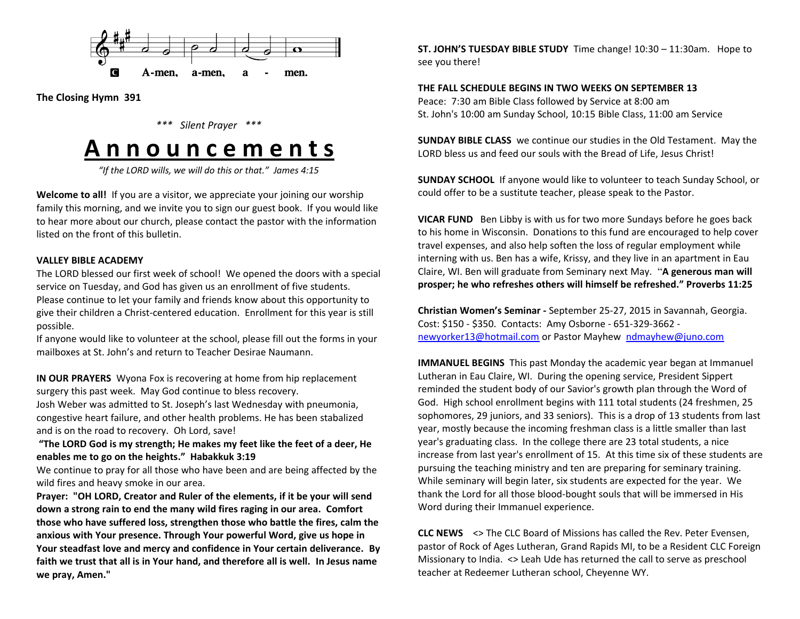

**The Closing Hymn 391**

*\*\*\* Silent Prayer \*\*\**

# **A n n o u n c e m e n t s**

*"If the LORD wills, we will do this or that." James 4:15*

**Welcome to all!** If you are a visitor, we appreciate your joining our worship family this morning, and we invite you to sign our guest book. If you would like to hear more about our church, please contact the pastor with the information listed on the front of this bulletin.

### **VALLEY BIBLE ACADEMY**

The LORD blessed our first week of school! We opened the doors with a special service on Tuesday, and God has given us an enrollment of five students. Please continue to let your family and friends know about this opportunity to give their children a Christ-centered education. Enrollment for this year is still possible.

If anyone would like to volunteer at the school, please fill out the forms in your mailboxes at St. John's and return to Teacher Desirae Naumann.

**IN OUR PRAYERS** Wyona Fox is recovering at home from hip replacement surgery this past week. May God continue to bless recovery.

Josh Weber was admitted to St. Joseph's last Wednesday with pneumonia, congestive heart failure, and other health problems. He has been stabalized and is on the road to recovery. Oh Lord, save!

 **"The LORD God is my strength; He makes my feet like the feet of a deer, He enables me to go on the heights." Habakkuk 3:19** 

We continue to pray for all those who have been and are being affected by the wild fires and heavy smoke in our area.

**Prayer: "OH LORD, Creator and Ruler of the elements, if it be your will send down a strong rain to end the many wild fires raging in our area. Comfort those who have suffered loss, strengthen those who battle the fires, calm the anxious with Your presence. Through Your powerful Word, give us hope in Your steadfast love and mercy and confidence in Your certain deliverance. By faith we trust that all is in Your hand, and therefore all is well. In Jesus name we pray, Amen."**

**ST. JOHN'S TUESDAY BIBLE STUDY** Time change! 10:30 – 11:30am. Hope to see you there!

**THE FALL SCHEDULE BEGINS IN TWO WEEKS ON SEPTEMBER 13** Peace: 7:30 am Bible Class followed by Service at 8:00 am St. John's 10:00 am Sunday School, 10:15 Bible Class, 11:00 am Service

**SUNDAY BIBLE CLASS** we continue our studies in the Old Testament. May the LORD bless us and feed our souls with the Bread of Life, Jesus Christ!

**SUNDAY SCHOOL** If anyone would like to volunteer to teach Sunday School, or could offer to be a sustitute teacher, please speak to the Pastor.

**VICAR FUND** Ben Libby is with us for two more Sundays before he goes back to his home in Wisconsin. Donations to this fund are encouraged to help cover travel expenses, and also help soften the loss of regular employment while interning with us. Ben has a wife, Krissy, and they live in an apartment in Eau Claire, WI. Ben will graduate from Seminary next May. "**A generous man will prosper; he who refreshes others will himself be refreshed." Proverbs 11:25** 

**Christian Women's Seminar -** September 25-27, 2015 in Savannah, Georgia. Cost: \$150 - \$350. Contacts: Amy Osborne - 651-329-3662 [newyorker13@hotmail.com](mailto:newyorker13@hotmail.com) or Pastor Mayhew [ndmayhew@juno.com](mailto:ndmayhew@juno.com)

**IMMANUEL BEGINS** This past Monday the academic year began at Immanuel Lutheran in Eau Claire, WI. During the opening service, President Sippert reminded the student body of our Savior's growth plan through the Word of God. High school enrollment begins with 111 total students (24 freshmen, 25 sophomores, 29 juniors, and 33 seniors). This is a drop of 13 students from last year, mostly because the incoming freshman class is a little smaller than last year's graduating class. In the college there are 23 total students, a nice increase from last year's enrollment of 15. At this time six of these students are pursuing the teaching ministry and ten are preparing for seminary training. While seminary will begin later, six students are expected for the year. We thank the Lord for all those blood-bought souls that will be immersed in His Word during their Immanuel experience.

**CLC NEWS** <> The CLC Board of Missions has called the Rev. Peter Evensen, pastor of Rock of Ages Lutheran, Grand Rapids MI, to be a Resident CLC Foreign Missionary to India. <> Leah Ude has returned the call to serve as preschool teacher at Redeemer Lutheran school, Cheyenne WY.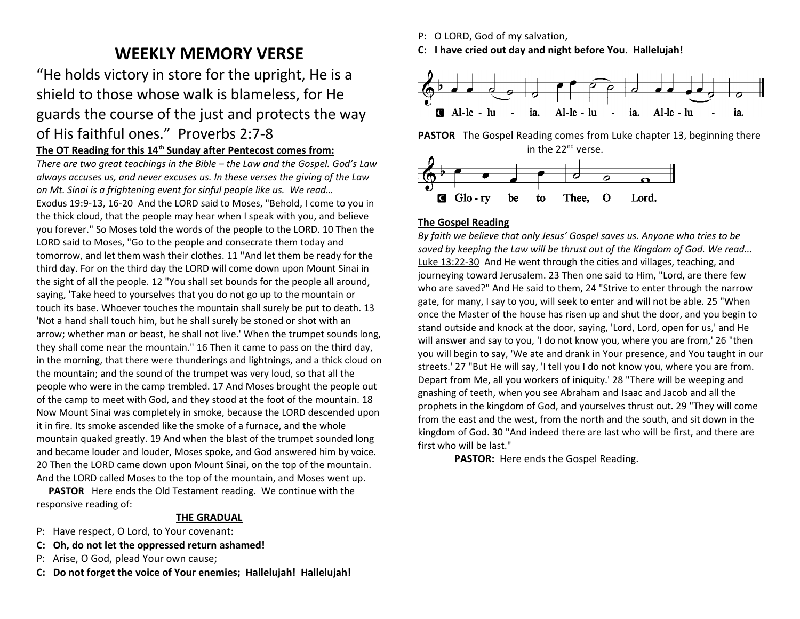# **WEEKLY MEMORY VERSE**

"He holds victory in store for the upright, He is a shield to those whose walk is blameless, for He guards the course of the just and protects the way of His faithful ones." Proverbs 2:7-8

# The OT Reading for this 14<sup>th</sup> Sunday after Pentecost comes from:

*There are two great teachings in the Bible – the Law and the Gospel. God's Law always accuses us, and never excuses us. In these verses the giving of the Law on Mt. Sinai is a frightening event for sinful people like us. We read…* Exodus 19:9-13, 16-20 And the LORD said to Moses, "Behold, I come to you in the thick cloud, that the people may hear when I speak with you, and believe you forever." So Moses told the words of the people to the LORD. 10 Then the LORD said to Moses, "Go to the people and consecrate them today and tomorrow, and let them wash their clothes. 11 "And let them be ready for the third day. For on the third day the LORD will come down upon Mount Sinai in the sight of all the people. 12 "You shall set bounds for the people all around, saying, 'Take heed to yourselves that you do not go up to the mountain or touch its base. Whoever touches the mountain shall surely be put to death. 13 'Not a hand shall touch him, but he shall surely be stoned or shot with an arrow; whether man or beast, he shall not live.' When the trumpet sounds long, they shall come near the mountain." 16 Then it came to pass on the third day, in the morning, that there were thunderings and lightnings, and a thick cloud on the mountain; and the sound of the trumpet was very loud, so that all the people who were in the camp trembled. 17 And Moses brought the people out of the camp to meet with God, and they stood at the foot of the mountain. 18 Now Mount Sinai was completely in smoke, because the LORD descended upon it in fire. Its smoke ascended like the smoke of a furnace, and the whole mountain quaked greatly. 19 And when the blast of the trumpet sounded long and became louder and louder, Moses spoke, and God answered him by voice. 20 Then the LORD came down upon Mount Sinai, on the top of the mountain. And the LORD called Moses to the top of the mountain, and Moses went up.

 **PASTOR** Here ends the Old Testament reading. We continue with the responsive reading of:

### **THE GRADUAL**

- P: Have respect, O Lord, to Your covenant:
- **C: Oh, do not let the oppressed return ashamed!**
- P: Arise, O God, plead Your own cause;
- **C: Do not forget the voice of Your enemies; Hallelujah! Hallelujah!**

P: O LORD, God of my salvation,

**C: I have cried out day and night before You. Hallelujah!**



**PASTOR** The Gospel Reading comes from Luke chapter 13, beginning there in the 22<sup>nd</sup> verse.



# **The Gospel Reading**

*By faith we believe that only Jesus' Gospel saves us. Anyone who tries to be saved by keeping the Law will be thrust out of the Kingdom of God. We read...* Luke 13:22-30 And He went through the cities and villages, teaching, and journeying toward Jerusalem. 23 Then one said to Him, "Lord, are there few who are saved?" And He said to them, 24 "Strive to enter through the narrow gate, for many, I say to you, will seek to enter and will not be able. 25 "When once the Master of the house has risen up and shut the door, and you begin to stand outside and knock at the door, saying, 'Lord, Lord, open for us,' and He will answer and say to you, 'I do not know you, where you are from,' 26 "then you will begin to say, 'We ate and drank in Your presence, and You taught in our streets.' 27 "But He will say, 'I tell you I do not know you, where you are from. Depart from Me, all you workers of iniquity.' 28 "There will be weeping and gnashing of teeth, when you see Abraham and Isaac and Jacob and all the prophets in the kingdom of God, and yourselves thrust out. 29 "They will come from the east and the west, from the north and the south, and sit down in the kingdom of God. 30 "And indeed there are last who will be first, and there are first who will be last."

**PASTOR:** Here ends the Gospel Reading.